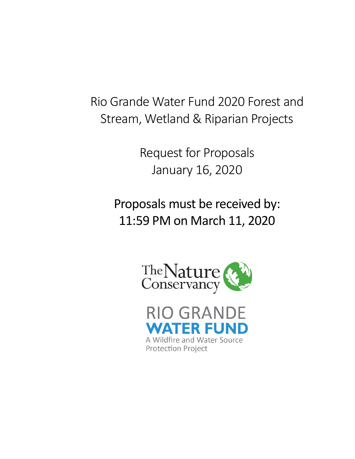Rio Grande Water Fund 2020 Forest and Stream, Wetland & Riparian Projects

> Request for Proposals January 16, 2020

Proposals must be received by: 11:59 PM on March 11, 2020



**RIO GRANDE ZATI** IER EUI A Wildfire and Water Source **Protection Project**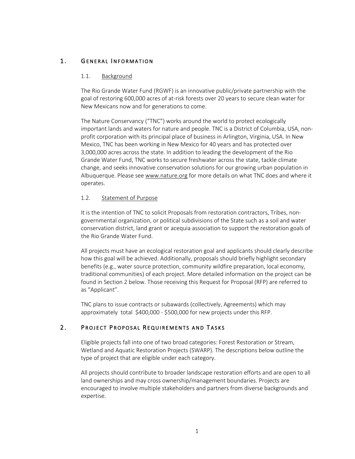# 1. GENERAL INFORMATION

## 1.1. Background

The Rio Grande Water Fund (RGWF) is an innovative public/private partnership with the goal of restoring 600,000 acres of at-risk forests over 20 years to secure clean water for New Mexicans now and for generations to come.

The Nature Conservancy ("TNC") works around the world to protect ecologically important lands and waters for nature and people. TNC is a District of Columbia, USA, nonprofit corporation with its principal place of business in Arlington, Virginia, USA. In New Mexico, TNC has been working in New Mexico for 40 years and has protected over 3,000,000 acres across the state. In addition to leading the development of the Rio Grande Water Fund, TNC works to secure freshwater across the state, tackle climate change, and seeks innovative conservation solutions for our growing urban population in Albuquerque. Please see www.nature.org for more details on what TNC does and where it operates.

## 1.2. Statement of Purpose

It is the intention of TNC to solicit Proposals from restoration contractors, Tribes, nongovernmental organization, or political subdivisions of the State such as a soil and water conservation district, land grant or acequia association to support the restoration goals of the Rio Grande Water Fund.

All projects must have an ecological restoration goal and applicants should clearly describe how this goal will be achieved. Additionally, proposals should briefly highlight secondary benefits (e.g., water source protection, community wildfire preparation, local economy, traditional communities) of each project. More detailed information on the project can be found in Section 2 below. Those receiving this Request for Proposal (RFP) are referred to as "Applicant".

TNC plans to issue contracts or subawards (collectively, Agreements) which may approximately total \$400,000 - \$500,000 for new projects under this RFP.

# 2. PROJECT PROPOSAL REQUIREMENTS AND TASKS

Eligible projects fall into one of two broad categories: Forest Restoration or Stream, Wetland and Aquatic Restoration Projects (SWARP). The descriptions below outline the type of project that are eligible under each category.

All projects should contribute to broader landscape restoration efforts and are open to all land ownerships and may cross ownership/management boundaries. Projects are encouraged to involve multiple stakeholders and partners from diverse backgrounds and expertise.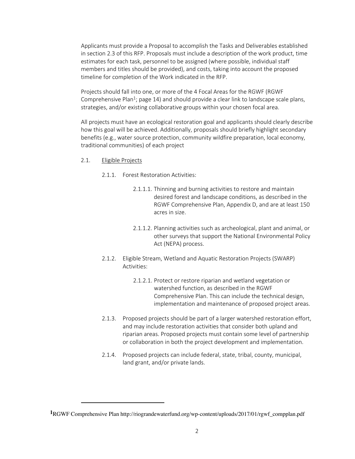Applicants must provide a Proposal to accomplish the Tasks and Deliverables established in section 2.3 of this RFP. Proposals must include a description of the work product, time estimates for each task, personnel to be assigned (where possible, individual staff members and titles should be provided), and costs, taking into account the proposed timeline for completion of the Work indicated in the RFP.

Projects should fall into one, or more of the 4 Focal Areas for the RGWF (RGWF Comprehensive Plan1; page 14) and should provide a clear link to landscape scale plans, strategies, and/or existing collaborative groups within your chosen focal area.

All projects must have an ecological restoration goal and applicants should clearly describe how this goal will be achieved. Additionally, proposals should briefly highlight secondary benefits (e.g., water source protection, community wildfire preparation, local economy, traditional communities) of each project

- 2.1. Eligible Projects
	- 2.1.1. Forest Restoration Activities:
		- 2.1.1.1. Thinning and burning activities to restore and maintain desired forest and landscape conditions, as described in the RGWF Comprehensive Plan, Appendix D, and are at least 150 acres in size.
		- 2.1.1.2. Planning activities such as archeological, plant and animal, or other surveys that support the National Environmental Policy Act (NEPA) process.
	- 2.1.2. Eligible Stream, Wetland and Aquatic Restoration Projects (SWARP) Activities:
		- 2.1.2.1. Protect or restore riparian and wetland vegetation or watershed function, as described in the RGWF Comprehensive Plan. This can include the technical design, implementation and maintenance of proposed project areas.
	- 2.1.3. Proposed projects should be part of a larger watershed restoration effort, and may include restoration activities that consider both upland and riparian areas. Proposed projects must contain some level of partnership or collaboration in both the project development and implementation.
	- 2.1.4. Proposed projects can include federal, state, tribal, county, municipal, land grant, and/or private lands.

**<sup>1</sup>**RGWF Comprehensive Plan http://riograndewaterfund.org/wp-content/uploads/2017/01/rgwf\_compplan.pdf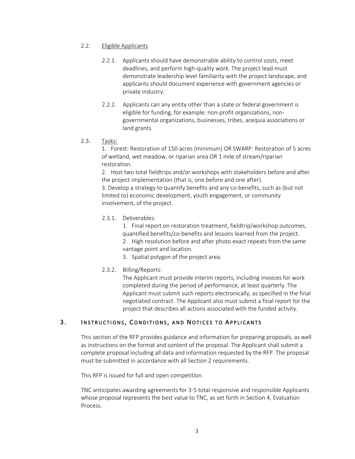## 2.2. Eligible Applicants

- 2.2.1. Applicants should have demonstrable ability to control costs, meet deadlines, and perform high-quality work. The project lead must demonstrate leadership level familiarity with the project landscape, and applicants should document experience with government agencies or private industry.
- 2.2.2. Applicants can any entity other than a state or federal government is eligible for funding, for example: non-profit organizations, nongovernmental organizations, businesses, tribes, acequia associations or land grants.
- 2.3. Tasks:

1. Forest: Restoration of 150 acres (minimum) OR SWARP: Restoration of 5 acres of wetland, wet meadow, or riparian area OR 1 mile of stream/riparian restoration.

2. Host two total fieldtrips and/or workshops with stakeholders before and after the project implementation (that is, one before and one after).

3. Develop a strategy to quantify benefits and any co-benefits, such as (but not limited to) economic development, youth engagement, or community involvement, of the project.

# 2.3.1. Deliverables:

1. Final report on restoration treatment, fieldtrip/workshop outcomes, quantified benefits/co-benefits and lessons learned from the project.

2. High resolution before and after photo exact repeats from the same vantage point and location.

3. Spatial polygon of the project area.

# 2.3.2. Billing/Reports:

The Applicant must provide interim reports, including invoices for work completed during the period of performance, at least quarterly. The Applicant must submit such reports electronically, as specified in the final negotiated contract. The Applicant also must submit a final report for the project that describes all actions associated with the funded activity.

# 3. INSTRUCTIONS, CONDITIONS, AND NOTICES TO APPLICANTS

This section of the RFP provides guidance and information for preparing proposals, as well as instructions on the format and content of the proposal. The Applicant shall submit a complete proposal including all data and information requested by the RFP. The proposal must be submitted in accordance with all Section 2 requirements.

This RFP is issued for full and open competition.

TNC anticipates awarding agreements for 3-5 total responsive and responsible Applicants whose proposal represents the best value to TNC, as set forth in Section 4, Evaluation Process.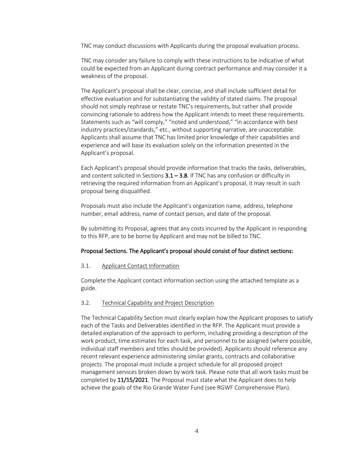TNC may conduct discussions with Applicants during the proposal evaluation process.

TNC may consider any failure to comply with these instructions to be indicative of what could be expected from an Applicant during contract performance and may consider it a weakness of the proposal.

The Applicant's proposal shall be clear, concise, and shall include sufficient detail for effective evaluation and for substantiating the validity of stated claims. The proposal should not simply rephrase or restate TNC's requirements, but rather shall provide convincing rationale to address how the Applicant intends to meet these requirements. Statements such as "will comply," "noted and understood," "in accordance with best industry practices/standards," etc., without supporting narrative, are unacceptable. Applicants shall assume that TNC has limited prior knowledge of their capabilities and experience and will base its evaluation solely on the information presented in the Applicant's proposal.

Each Applicant's proposal should provide information that tracks the tasks, deliverables, and content solicited in Sections  $3.1 - 3.8$ . If TNC has any confusion or difficulty in retrieving the required information from an Applicant's proposal, it may result in such proposal being disqualified.

Proposals must also include the Applicant's organization name, address, telephone number, email address, name of contact person, and date of the proposal.

By submitting its Proposal, agrees that any costs incurred by the Applicant in responding to this RFP, are to be borne by Applicant and may not be billed to TNC.

## Proposal Sections. The Applicant's proposal should consist of four distinct sections:

#### 3.1. Applicant Contact Information

Complete the Applicant contact information section using the attached template as a guide.

#### 3.2. Technical Capability and Project Description

The Technical Capability Section must clearly explain how the Applicant proposes to satisfy each of the Tasks and Deliverables identified in the RFP. The Applicant must provide a detailed explanation of the approach to perform, including providing a description of the work product, time estimates for each task, and personnel to be assigned (where possible, individual staff members and titles should be provided). Applicants should reference any recent relevant experience administering similar grants, contracts and collaborative projects. The proposal must include a project schedule for all proposed project management services broken down by work task. Please note that all work tasks must be completed by 11/15/2021. The Proposal must state what the Applicant does to help achieve the goals of the Rio Grande Water Fund (see RGWF Comprehensive Plan).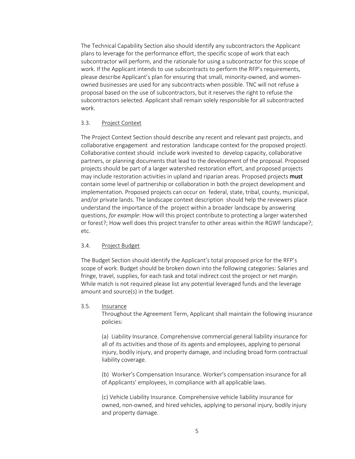The Technical Capability Section also should identify any subcontractors the Applicant plans to leverage for the performance effort, the specific scope of work that each subcontractor will perform, and the rationale for using a subcontractor for this scope of work. If the Applicant intends to use subcontracts to perform the RFP's requirements, please describe Applicant's plan for ensuring that small, minority-owned, and womenowned businesses are used for any subcontracts when possible. TNC will not refuse a proposal based on the use of subcontractors, but it reserves the right to refuse the subcontractors selected. Applicant shall remain solely responsible for all subcontracted work.

# 3.3. Project Context

The Project Context Section should describe any recent and relevant past projects, and collaborative engagement and restoration landscape context for the proposed projectl. Collaborative context should include work invested to develop capacity, collaborative partners, or planning documents that lead to the development of the proposal. Proposed projects should be part of a larger watershed restoration effort, and proposed projects may include restoration activities in upland and riparian areas. Proposed projects must contain some level of partnership or collaboration in both the project development and implementation. Proposed projects can occur on federal, state, tribal, county, municipal, and/or private lands. The landscape context description should help the reviewers place understand the importance of the project within a broader landscape by answering questions, *for example*: How will this project contribute to protecting a larger watershed or forest?; How well does this project transfer to other areas within the RGWF landscape?; etc.

## 3.4. Project Budget

The Budget Section should identify the Applicant's total proposed price for the RFP's scope of work. Budget should be broken down into the following categories: Salaries and fringe, travel, supplies, for each task and total indirect cost the project or net margin. While match is not required please list any potential leveraged funds and the leverage amount and source(s) in the budget.

3.5. Insurance

Throughout the Agreement Term, Applicant shall maintain the following insurance policies:

(a) Liability Insurance. Comprehensive commercial general liability insurance for all of its activities and those of its agents and employees, applying to personal injury, bodily injury, and property damage, and including broad form contractual liability coverage.

(b) Worker's Compensation Insurance. Worker's compensation insurance for all of Applicants' employees, in compliance with all applicable laws.

(c) Vehicle Liability Insurance. Comprehensive vehicle liability insurance for owned, non-owned, and hired vehicles, applying to personal injury, bodily injury and property damage.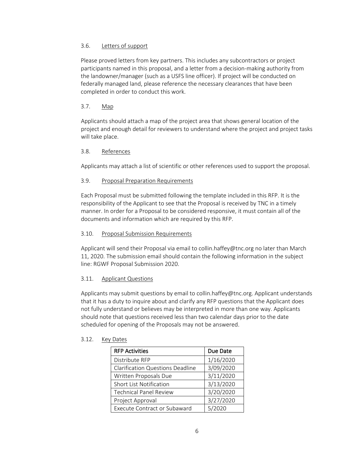# 3.6. Letters of support

Please proved letters from key partners. This includes any subcontractors or project participants named in this proposal, and a letter from a decision-making authority from the landowner/manager (such as a USFS line officer). If project will be conducted on federally managed land, please reference the necessary clearances that have been completed in order to conduct this work.

# 3.7. Map

Applicants should attach a map of the project area that shows general location of the project and enough detail for reviewers to understand where the project and project tasks will take place.

# 3.8. References

Applicants may attach a list of scientific or other references used to support the proposal.

# 3.9. Proposal Preparation Requirements

Each Proposal must be submitted following the template included in this RFP. It is the responsibility of the Applicant to see that the Proposal is received by TNC in a timely manner. In order for a Proposal to be considered responsive, it must contain all of the documents and information which are required by this RFP.

## 3.10. Proposal Submission Requirements

Applicant will send their Proposal via email to collin.haffey@tnc.org no later than March 11, 2020. The submission email should contain the following information in the subject line: RGWF Proposal Submission 2020.

# 3.11. Applicant Questions

Applicants may submit questions by email to collin.haffey@tnc.org. Applicant understands that it has a duty to inquire about and clarify any RFP questions that the Applicant does not fully understand or believes may be interpreted in more than one way. Applicants should note that questions received less than two calendar days prior to the date scheduled for opening of the Proposals may not be answered.

| <b>RFP Activities</b>                   | Due Date  |
|-----------------------------------------|-----------|
| Distribute RFP                          | 1/16/2020 |
| <b>Clarification Questions Deadline</b> | 3/09/2020 |
| Written Proposals Due                   | 3/11/2020 |
| Short List Notification                 | 3/13/2020 |
| <b>Technical Panel Review</b>           | 3/20/2020 |
| Project Approval                        | 3/27/2020 |
| <b>Execute Contract or Subaward</b>     | 5/2020    |

## 3.12. Key Dates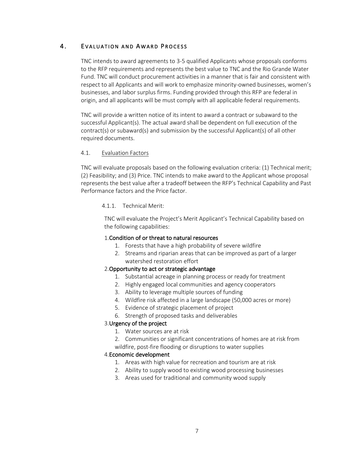# 4. EVALUATION AND AWARD PROCESS

TNC intends to award agreements to 3-5 qualified Applicants whose proposals conforms to the RFP requirements and represents the best value to TNC and the Rio Grande Water Fund. TNC will conduct procurement activities in a manner that is fair and consistent with respect to all Applicants and will work to emphasize minority-owned businesses, women's businesses, and labor surplus firms. Funding provided through this RFP are federal in origin, and all applicants will be must comply with all applicable federal requirements.

TNC will provide a written notice of its intent to award a contract or subaward to the successful Applicant(s). The actual award shall be dependent on full execution of the contract(s) or subaward(s) and submission by the successful Applicant(s) of all other required documents.

# 4.1. Evaluation Factors

TNC will evaluate proposals based on the following evaluation criteria: (1) Technical merit; (2) Feasibility; and (3) Price. TNC intends to make award to the Applicant whose proposal represents the best value after a tradeoff between the RFP's Technical Capability and Past Performance factors and the Price factor.

#### 4.1.1. Technical Merit:

TNC will evaluate the Project's Merit Applicant's Technical Capability based on the following capabilities:

## 1.Condition of or threat to natural resources

- 1. Forests that have a high probability of severe wildfire
- 2. Streams and riparian areas that can be improved as part of a larger watershed restoration effort

## 2.Opportunity to act or strategic advantage

- 1. Substantial acreage in planning process or ready for treatment
- 2. Highly engaged local communities and agency cooperators
- 3. Ability to leverage multiple sources of funding
- 4. Wildfire risk affected in a large landscape (50,000 acres or more)
- 5. Evidence of strategic placement of project
- 6. Strength of proposed tasks and deliverables

## 3.Urgency of the project

- 1. Water sources are at risk
- 2. Communities or significant concentrations of homes are at risk from wildfire, post-fire flooding or disruptions to water supplies

#### 4.Economic development

- 1. Areas with high value for recreation and tourism are at risk
- 2. Ability to supply wood to existing wood processing businesses
- 3. Areas used for traditional and community wood supply